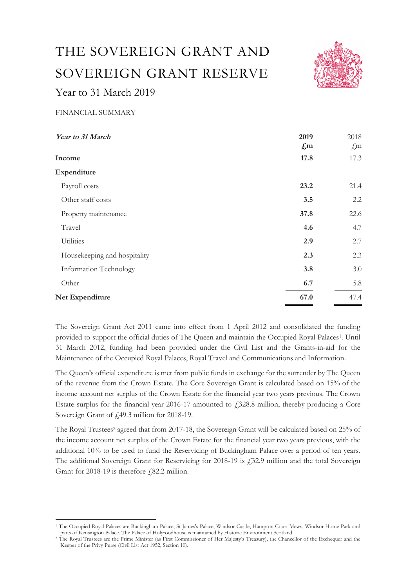# THE SOVEREIGN GRANT AND SOVEREIGN GRANT RESERVE Year to 31 March 2019



## FINANCIAL SUMMARY

| Year to 31 March             | 2019<br>$\mathcal{L}$ m | 2018<br>$\mathcal{L}$ m |
|------------------------------|-------------------------|-------------------------|
| Income                       | 17.8                    | 17.3                    |
| <b>Expenditure</b>           |                         |                         |
| Payroll costs                | 23.2                    | 21.4                    |
| Other staff costs            | 3.5                     | 2.2                     |
| Property maintenance         | 37.8                    | 22.6                    |
| Travel                       | 4.6                     | 4.7                     |
| Utilities                    | 2.9                     | 2.7                     |
| Housekeeping and hospitality | 2.3                     | 2.3                     |
| Information Technology       | 3.8                     | 3.0                     |
| Other                        | 6.7                     | 5.8                     |
| <b>Net Expenditure</b>       | 67.0                    | 47.4                    |

The Sovereign Grant Act 2011 came into effect from 1 April 2012 and consolidated the funding provided to support the official duties of The Queen and maintain the Occupied Royal Palaces<sup>1</sup>. Until 31 March 2012, funding had been provided under the Civil List and the Grants-in-aid for the Maintenance of the Occupied Royal Palaces, Royal Travel and Communications and Information.

The Queen's official expenditure is met from public funds in exchange for the surrender by The Queen of the revenue from the Crown Estate. The Core Sovereign Grant is calculated based on 15% of the income account net surplus of the Crown Estate for the financial year two years previous. The Crown Estate surplus for the financial year 2016-17 amounted to  $£328.8$  million, thereby producing a Core Sovereign Grant of £49.3 million for 2018-19.

The Royal Trustees<sup>2</sup> agreed that from 2017-18, the Sovereign Grant will be calculated based on 25% of the income account net surplus of the Crown Estate for the financial year two years previous, with the additional 10% to be used to fund the Reservicing of Buckingham Palace over a period of ten years. The additional Sovereign Grant for Reservicing for 2018-19 is £32.9 million and the total Sovereign Grant for 2018-19 is therefore  $f$ , 82.2 million.

<sup>&</sup>lt;sup>1</sup> The Occupied Royal Palaces are Buckingham Palace, St James's Palace, Windsor Castle, Hampton Court Mews, Windsor Home Park and parts of Kensington Palace. The Palace of Holyroodhouse is maintained by Historic Environment Scotland.

<sup>2</sup> The Royal Trustees are the Prime Minister (as First Commissioner of Her Majesty's Treasury), the Chancellor of the Exchequer and the Keeper of the Privy Purse (Civil List Act 1952, Section 10).